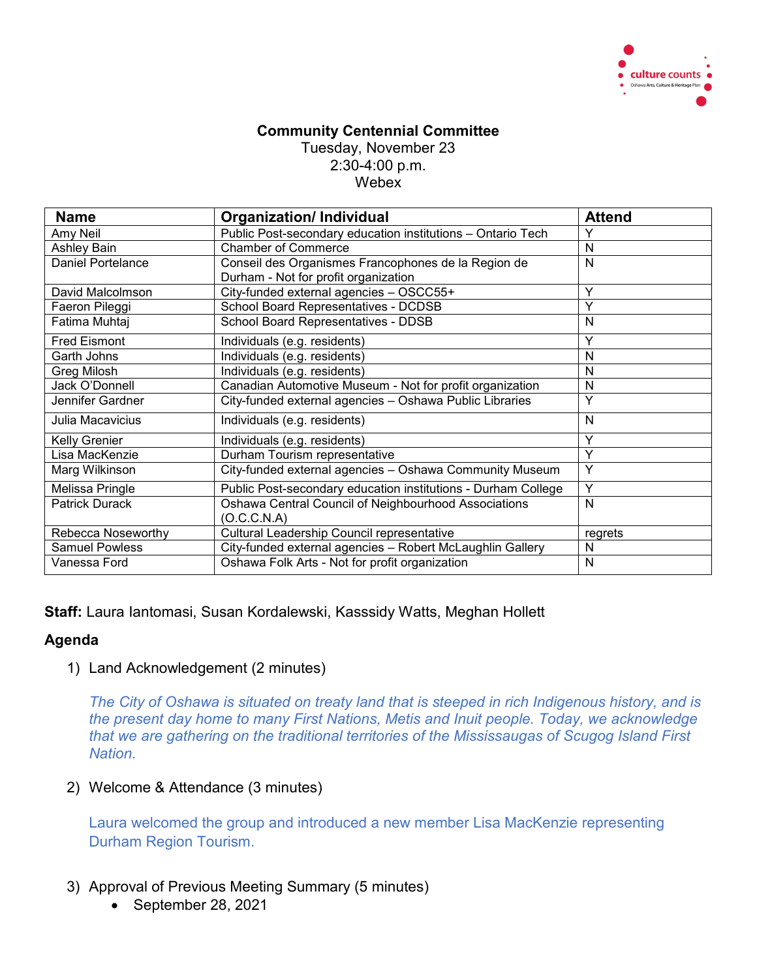

## **Community Centennial Committee** Tuesday, November 23 2:30-4:00 p.m. Webex

| <b>Name</b>              | <b>Organization/Individual</b>                                | <b>Attend</b> |
|--------------------------|---------------------------------------------------------------|---------------|
| Amy Neil                 | Public Post-secondary education institutions - Ontario Tech   | Υ             |
| Ashley Bain              | <b>Chamber of Commerce</b>                                    | N             |
| <b>Daniel Portelance</b> | Conseil des Organismes Francophones de la Region de           | N             |
|                          | Durham - Not for profit organization                          |               |
| David Malcolmson         | City-funded external agencies - OSCC55+                       | Υ             |
| Faeron Pileggi           | School Board Representatives - DCDSB                          | Υ             |
| Fatima Muhtaj            | School Board Representatives - DDSB                           | N             |
| <b>Fred Eismont</b>      | Individuals (e.g. residents)                                  | Υ             |
| Garth Johns              | Individuals (e.g. residents)                                  | N             |
| Greg Milosh              | Individuals (e.g. residents)                                  | N             |
| Jack O'Donnell           | Canadian Automotive Museum - Not for profit organization      | N             |
| Jennifer Gardner         | City-funded external agencies - Oshawa Public Libraries       | Υ             |
| Julia Macavicius         | Individuals (e.g. residents)                                  | N             |
| Kelly Grenier            | Individuals (e.g. residents)                                  | Υ             |
| Lisa MacKenzie           | Durham Tourism representative                                 | Υ             |
| Marg Wilkinson           | City-funded external agencies - Oshawa Community Museum       | Y             |
| Melissa Pringle          | Public Post-secondary education institutions - Durham College | Y             |
| <b>Patrick Durack</b>    | Oshawa Central Council of Neighbourhood Associations          | N             |
|                          | (O.C.C.N.A)                                                   |               |
| Rebecca Noseworthy       | Cultural Leadership Council representative                    | regrets       |
| <b>Samuel Powless</b>    | City-funded external agencies - Robert McLaughlin Gallery     | N             |
| Vanessa Ford             | Oshawa Folk Arts - Not for profit organization                | N             |

**Staff:** Laura Iantomasi, Susan Kordalewski, Kasssidy Watts, Meghan Hollett

## **Agenda**

1) Land Acknowledgement (2 minutes)

*The City of Oshawa is situated on treaty land that is steeped in rich Indigenous history, and is the present day home to many First Nations, Metis and Inuit people. Today, we acknowledge that we are gathering on the traditional territories of the Mississaugas of Scugog Island First Nation.*

2) Welcome & Attendance (3 minutes)

Laura welcomed the group and introduced a new member Lisa MacKenzie representing Durham Region Tourism.

- 3) Approval of Previous Meeting Summary (5 minutes)
	- September 28, 2021